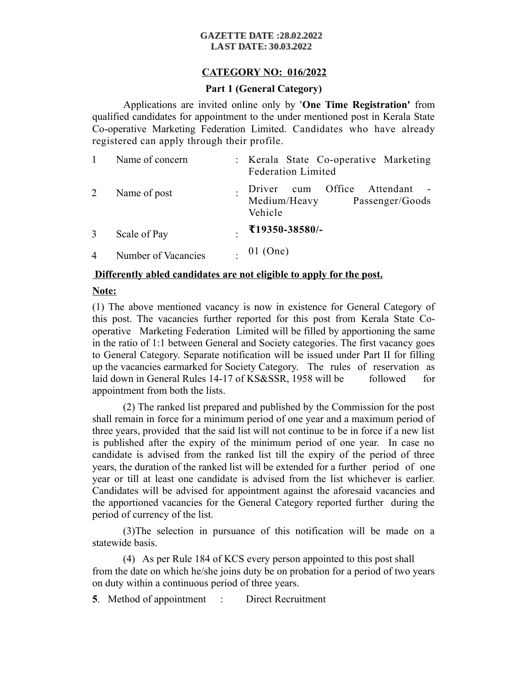#### **GAZETTE DATE:28.02.2022 LAST DATE: 30.03.2022**

# **CATEGORY NO: 016/2022**

## **Part 1 (General Category)**

Applications are invited online only by '**One Time Registration'** from qualified candidates for appointment to the under mentioned post in Kerala State Co-operative Marketing Federation Limited. Candidates who have already registered can apply through their profile.

|                | Name of concern     | : Kerala State Co-operative Marketing<br><b>Federation Limited</b>              |
|----------------|---------------------|---------------------------------------------------------------------------------|
| 2              | Name of post        | cum Office<br>Attendant<br>Driver<br>Medium/Heavy<br>Passenger/Goods<br>Vehicle |
| 3              | Scale of Pay        | ₹19350-38580/-                                                                  |
| $\overline{4}$ | Number of Vacancies | . $01$ (One)                                                                    |

### **Differently abled candidates are not eligible to apply for the post.**

## **Note:**

(1) The above mentioned vacancy is now in existence for General Category of this post. The vacancies further reported for this post from Kerala State Cooperative Marketing Federation Limited will be filled by apportioning the same in the ratio of 1:1 between General and Society categories. The first vacancy goes to General Category. Separate notification will be issued under Part II for filling up the vacancies earmarked for Society Category. The rules of reservation as laid down in General Rules 14-17 of KS&SSR, 1958 will be followed for appointment from both the lists.

(2) The ranked list prepared and published by the Commission for the post shall remain in force for a minimum period of one year and a maximum period of three years, provided that the said list will not continue to be in force if a new list is published after the expiry of the minimum period of one year. In case no candidate is advised from the ranked list till the expiry of the period of three years, the duration of the ranked list will be extended for a further period of one year or till at least one candidate is advised from the list whichever is earlier. Candidates will be advised for appointment against the aforesaid vacancies and the apportioned vacancies for the General Category reported further during the period of currency of the list.

(3)The selection in pursuance of this notification will be made on a statewide basis.

(4) As per Rule 184 of KCS every person appointed to this post shall from the date on which he/she joins duty be on probation for a period of two years on duty within a continuous period of three years.

**5**. Method of appointment : Direct Recruitment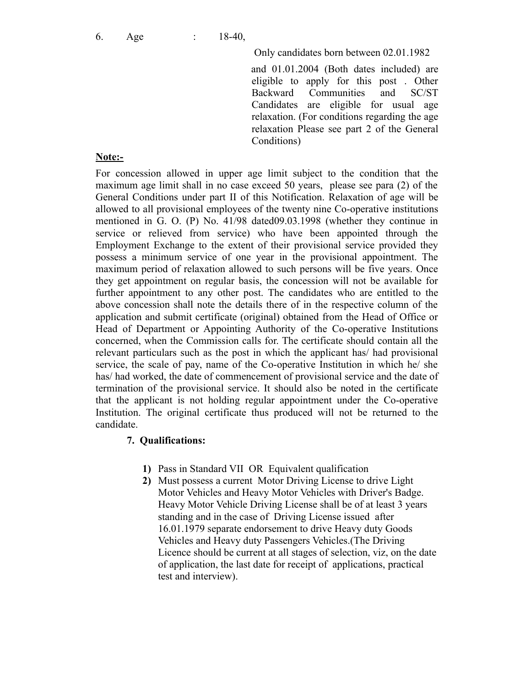Only candidates born between 02.01.1982

and 01.01.2004 (Both dates included) are eligible to apply for this post . Other Backward Communities and SC/ST Candidates are eligible for usual age relaxation. (For conditions regarding the age relaxation Please see part 2 of the General Conditions)

### **Note:-**

For concession allowed in upper age limit subject to the condition that the maximum age limit shall in no case exceed 50 years, please see para (2) of the General Conditions under part II of this Notification. Relaxation of age will be allowed to all provisional employees of the twenty nine Co-operative institutions mentioned in G. O. (P) No. 41/98 dated09.03.1998 (whether they continue in service or relieved from service) who have been appointed through the Employment Exchange to the extent of their provisional service provided they possess a minimum service of one year in the provisional appointment. The maximum period of relaxation allowed to such persons will be five years. Once they get appointment on regular basis, the concession will not be available for further appointment to any other post. The candidates who are entitled to the above concession shall note the details there of in the respective column of the application and submit certificate (original) obtained from the Head of Office or Head of Department or Appointing Authority of the Co-operative Institutions concerned, when the Commission calls for. The certificate should contain all the relevant particulars such as the post in which the applicant has/ had provisional service, the scale of pay, name of the Co-operative Institution in which he/ she has/ had worked, the date of commencement of provisional service and the date of termination of the provisional service. It should also be noted in the certificate that the applicant is not holding regular appointment under the Co-operative Institution. The original certificate thus produced will not be returned to the candidate.

#### **7. Qualifications:**

- **1)** Pass in Standard VII OR Equivalent qualification
- **2)** Must possess a current Motor Driving License to drive Light Motor Vehicles and Heavy Motor Vehicles with Driver's Badge. Heavy Motor Vehicle Driving License shall be of at least 3 years standing and in the case of Driving License issued after 16.01.1979 separate endorsement to drive Heavy duty Goods Vehicles and Heavy duty Passengers Vehicles.(The Driving Licence should be current at all stages of selection, viz, on the date of application, the last date for receipt of applications, practical test and interview).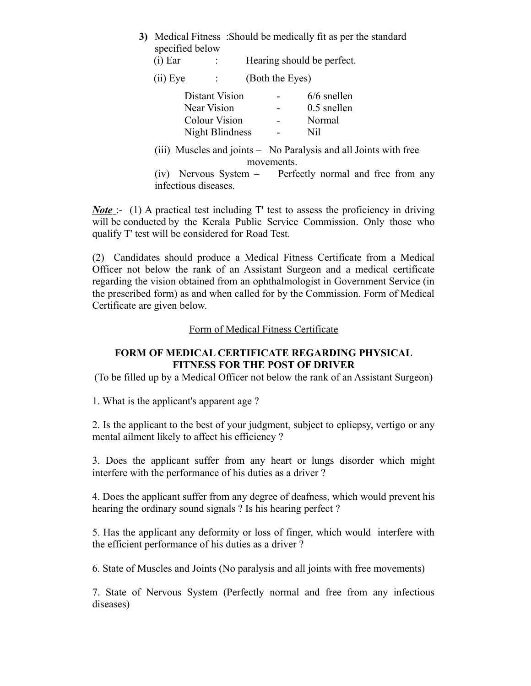| 3) Medical Fitness: Should be medically fit as per the standard<br>specified below |                 |                                                                                                                         |  |  |  |
|------------------------------------------------------------------------------------|-----------------|-------------------------------------------------------------------------------------------------------------------------|--|--|--|
| $(i)$ Ear<br>$\sim 100$                                                            |                 | Hearing should be perfect.                                                                                              |  |  |  |
| $(ii)$ Eye<br>$\sim 100$                                                           | (Both the Eyes) |                                                                                                                         |  |  |  |
| Distant Vision<br>Near Vision<br><b>Colour Vision</b><br>Night Blindness           |                 | $6/6$ snellen<br>$0.5$ snellen<br>Normal<br>Nil                                                                         |  |  |  |
| (1V)<br>infectious diseases.                                                       | movements.      | (iii) Muscles and joints – No Paralysis and all Joints with free<br>Nervous System – Perfectly normal and free from any |  |  |  |

*Note* :- (1) A practical test including T' test to assess the proficiency in driving will be conducted by the Kerala Public Service Commission. Only those who qualify T' test will be considered for Road Test.

(2) Candidates should produce a Medical Fitness Certificate from a Medical Officer not below the rank of an Assistant Surgeon and a medical certificate regarding the vision obtained from an ophthalmologist in Government Service (in the prescribed form) as and when called for by the Commission. Form of Medical Certificate are given below.

#### Form of Medical Fitness Certificate

## **FORM OF MEDICAL CERTIFICATE REGARDING PHYSICAL FITNESS FOR THE POST OF DRIVER**

(To be filled up by a Medical Officer not below the rank of an Assistant Surgeon)

1. What is the applicant's apparent age ?

2. Is the applicant to the best of your judgment, subject to epliepsy, vertigo or any mental ailment likely to affect his efficiency ?

3. Does the applicant suffer from any heart or lungs disorder which might interfere with the performance of his duties as a driver ?

4. Does the applicant suffer from any degree of deafness, which would prevent his hearing the ordinary sound signals ? Is his hearing perfect ?

5. Has the applicant any deformity or loss of finger, which would interfere with the efficient performance of his duties as a driver ?

6. State of Muscles and Joints (No paralysis and all joints with free movements)

7. State of Nervous System (Perfectly normal and free from any infectious diseases)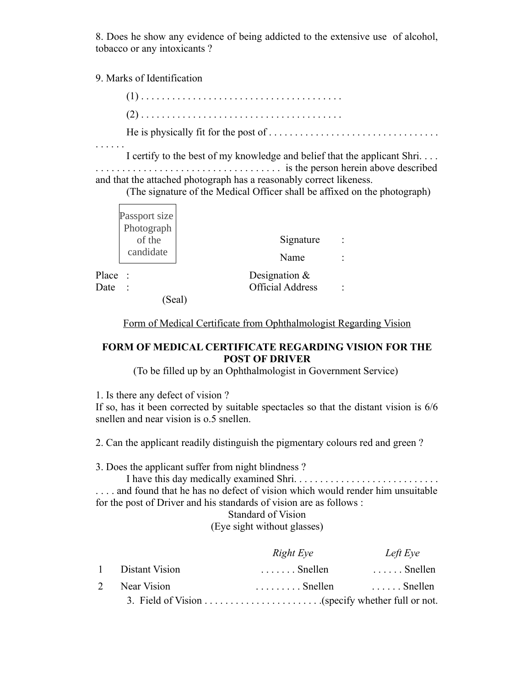8. Does he show any evidence of being addicted to the extensive use of alcohol, tobacco or any intoxicants ?

9. Marks of Identification

(1) . . . . . . . . . . . . . . . . . . . . . . . . . . . . . . . . . . . . . . . (2) . . . . . . . . . . . . . . . . . . . . . . . . . . . . . . . . . . . . . . . He is physically fit for the post of . . . . . . . . . . . . . . . . . . . . . . . . . . . . . . . . .

. . . . . . I certify to the best of my knowledge and belief that the applicant Shri. . . . . . . . . . . . . . . . . . . . . . . . . . . . . . . . . . . . . . . is the person herein above described and that the attached photograph has a reasonably correct likeness.

(The signature of the Medical Officer shall be affixed on the photograph)

Form of Medical Certificate from Ophthalmologist Regarding Vision

## **FORM OF MEDICAL CERTIFICATE REGARDING VISION FOR THE POST OF DRIVER**

(To be filled up by an Ophthalmologist in Government Service)

1. Is there any defect of vision ?

If so, has it been corrected by suitable spectacles so that the distant vision is 6/6 snellen and near vision is o.5 snellen.

2. Can the applicant readily distinguish the pigmentary colours red and green ?

3. Does the applicant suffer from night blindness ?

I have this day medically examined Shri. . . . . . . . . . . . . . . . . . . . . . . . . . . . . . . . and found that he has no defect of vision which would render him unsuitable

for the post of Driver and his standards of vision are as follows :

Standard of Vision

(Eye sight without glasses)

|   |                  | Right Eye                 | Left Eye           |
|---|------------------|---------------------------|--------------------|
|   | 1 Distant Vision | $\ldots \ldots$ . Snellen | $\ldots$ . Snellen |
| 2 | Near Vision      | $\ldots \ldots$ . Snellen | $\ldots$ . Snellen |
|   |                  |                           |                    |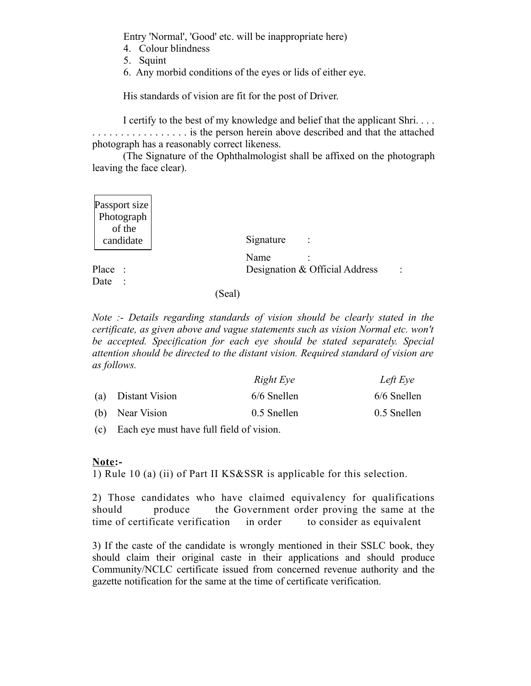Entry 'Normal', 'Good' etc. will be inappropriate here)

- 4. Colour blindness
- 5. Squint
- 6. Any morbid conditions of the eyes or lids of either eye.

His standards of vision are fit for the post of Driver.

I certify to the best of my knowledge and belief that the applicant Shri. . . . . . . . . . . . . . . . . . . . . is the person herein above described and that the attached photograph has a reasonably correct likeness.

(The Signature of the Ophthalmologist shall be affixed on the photograph leaving the face clear).

| Passport size<br>Photograph |                                                  |
|-----------------------------|--------------------------------------------------|
| of the<br>candidate         | Signature                                        |
|                             | Name                                             |
| Place                       | Designation & Official Address<br>$\ddot{\cdot}$ |
| Date                        |                                                  |
|                             | (Seal)                                           |

*Note :- Details regarding standards of vision should be clearly stated in the certificate, as given above and vague statements such as vision Normal etc. won't be accepted. Specification for each eye should be stated separately. Special attention should be directed to the distant vision. Required standard of vision are as follows.*

|                    | Right Eye     | Left Eye      |
|--------------------|---------------|---------------|
| (a) Distant Vision | $6/6$ Snellen | $6/6$ Snellen |
| (b) Near Vision    | 0.5 Snellen   | 0.5 Snellen   |

(c) Each eye must have full field of vision.

## **Note:-**

1) Rule 10 (a) (ii) of Part II KS&SSR is applicable for this selection.

2) Those candidates who have claimed equivalency for qualifications should produce the Government order proving the same at the time of certificate verification in order to consider as equivalent

3) If the caste of the candidate is wrongly mentioned in their SSLC book, they should claim their original caste in their applications and should produce Community/NCLC certificate issued from concerned revenue authority and the gazette notification for the same at the time of certificate verification.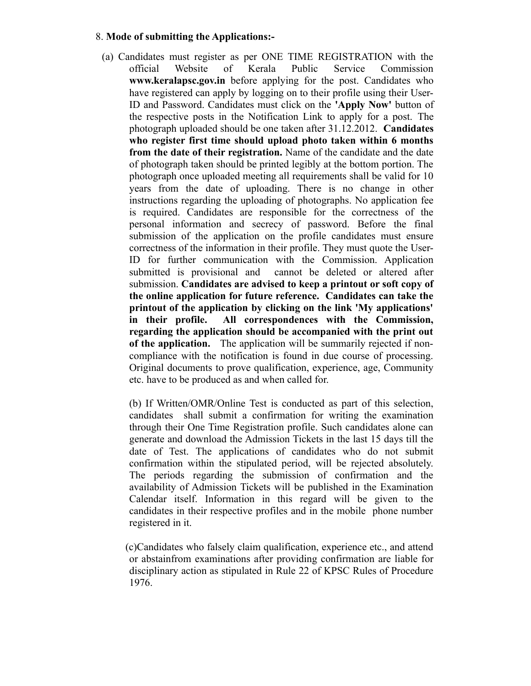## 8. **Mode of submitting the Applications:-**

- (a) Candidates must register as per ONE TIME REGISTRATION with the official Website of Kerala Public Service Commission **www.keralapsc.gov.in** before applying for the post. Candidates who have registered can apply by logging on to their profile using their User-ID and Password. Candidates must click on the **'Apply Now'** button of the respective posts in the Notification Link to apply for a post. The photograph uploaded should be one taken after 31.12.2012. **Candidates who register first time should upload photo taken within 6 months from the date of their registration.** Name of the candidate and the date of photograph taken should be printed legibly at the bottom portion. The photograph once uploaded meeting all requirements shall be valid for 10 years from the date of uploading. There is no change in other instructions regarding the uploading of photographs. No application fee is required. Candidates are responsible for the correctness of the personal information and secrecy of password. Before the final submission of the application on the profile candidates must ensure correctness of the information in their profile. They must quote the User-ID for further communication with the Commission. Application submitted is provisional and cannot be deleted or altered after submission. **Candidates are advised to keep a printout or soft copy of the online application for future reference. Candidates can take the printout of the application by clicking on the link 'My applications' in their profile. All correspondences with the Commission, regarding the application should be accompanied with the print out of the application.** The application will be summarily rejected if noncompliance with the notification is found in due course of processing. Original documents to prove qualification, experience, age, Community etc. have to be produced as and when called for.
	- (b) If Written/OMR/Online Test is conducted as part of this selection, candidates shall submit a confirmation for writing the examination through their One Time Registration profile. Such candidates alone can generate and download the Admission Tickets in the last 15 days till the date of Test. The applications of candidates who do not submit confirmation within the stipulated period, will be rejected absolutely. The periods regarding the submission of confirmation and the availability of Admission Tickets will be published in the Examination Calendar itself. Information in this regard will be given to the candidates in their respective profiles and in the mobile phone number registered in it.
	- (c)Candidates who falsely claim qualification, experience etc., and attend or abstainfrom examinations after providing confirmation are liable for disciplinary action as stipulated in Rule 22 of KPSC Rules of Procedure 1976.